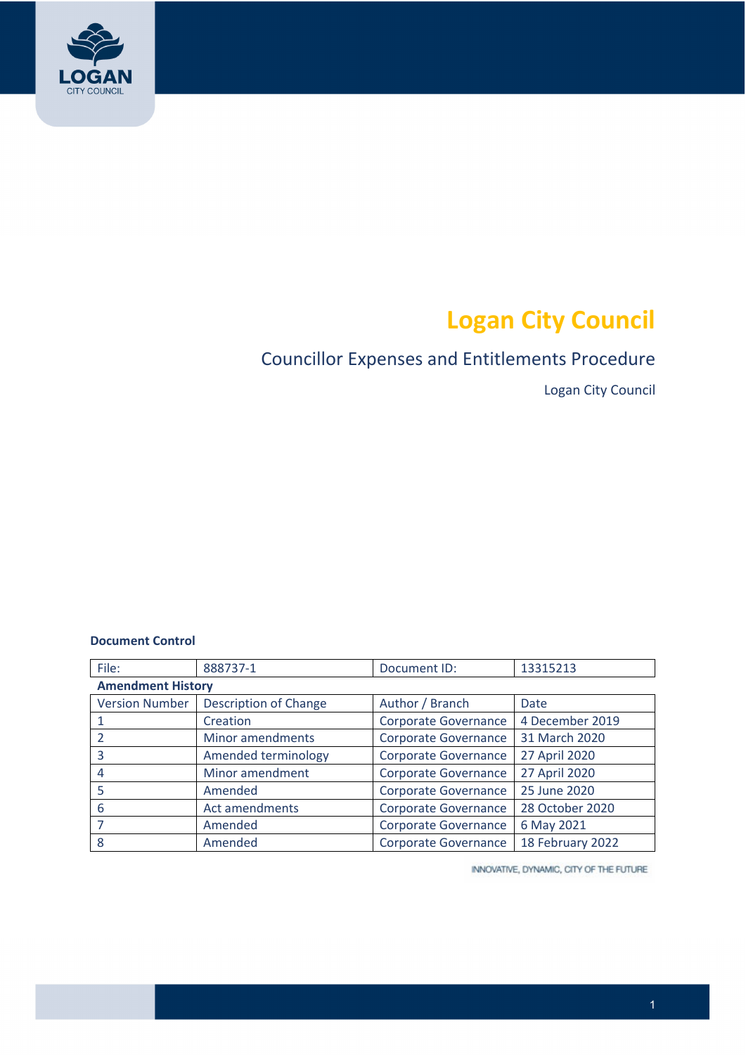

# **Logan City Council**

# Councillor Expenses and Entitlements Procedure

Logan City Council

#### **Document Control**

| File:                    | 888737-1                     | Document ID:                | 13315213         |
|--------------------------|------------------------------|-----------------------------|------------------|
| <b>Amendment History</b> |                              |                             |                  |
| <b>Version Number</b>    | <b>Description of Change</b> | Author / Branch             | Date             |
| 1                        | Creation                     | Corporate Governance        | 4 December 2019  |
| $\overline{\phantom{a}}$ | Minor amendments             | <b>Corporate Governance</b> | 31 March 2020    |
| 3                        | Amended terminology          | <b>Corporate Governance</b> | 27 April 2020    |
| 4                        | Minor amendment              | <b>Corporate Governance</b> | 27 April 2020    |
| 5                        | Amended                      | <b>Corporate Governance</b> | 25 June 2020     |
| 6                        | Act amendments               | <b>Corporate Governance</b> | 28 October 2020  |
| 7                        | Amended                      | <b>Corporate Governance</b> | 6 May 2021       |
| 8                        | Amended                      | <b>Corporate Governance</b> | 18 February 2022 |

INNOVATIVE, DYNAMIC, CITY OF THE FUTURE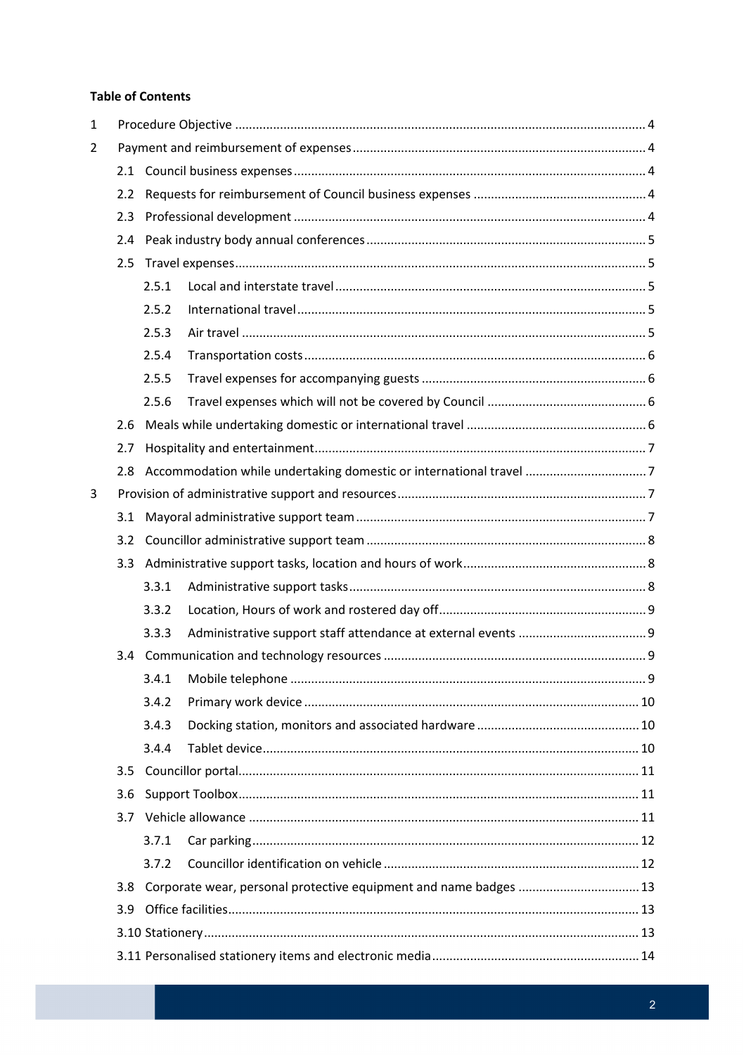#### **Table of Contents**

| 1              |     |       |                                                                    |  |
|----------------|-----|-------|--------------------------------------------------------------------|--|
| $\overline{2}$ |     |       |                                                                    |  |
|                | 2.1 |       |                                                                    |  |
|                | 2.2 |       |                                                                    |  |
|                | 2.3 |       |                                                                    |  |
|                | 2.4 |       |                                                                    |  |
|                | 2.5 |       |                                                                    |  |
|                |     | 2.5.1 |                                                                    |  |
|                |     | 2.5.2 |                                                                    |  |
|                |     | 2.5.3 |                                                                    |  |
|                |     | 2.5.4 |                                                                    |  |
|                |     | 2.5.5 |                                                                    |  |
|                |     | 2.5.6 |                                                                    |  |
|                | 2.6 |       |                                                                    |  |
|                | 2.7 |       |                                                                    |  |
|                | 2.8 |       | Accommodation while undertaking domestic or international travel 7 |  |
| 3              |     |       |                                                                    |  |
|                | 3.1 |       |                                                                    |  |
|                | 3.2 |       |                                                                    |  |
|                |     |       |                                                                    |  |
|                |     | 3.3.1 |                                                                    |  |
|                |     | 3.3.2 |                                                                    |  |
|                |     | 3.3.3 |                                                                    |  |
|                |     |       |                                                                    |  |
|                |     |       |                                                                    |  |
|                |     | 3.4.2 |                                                                    |  |
|                |     | 3.4.3 |                                                                    |  |
|                |     | 3.4.4 |                                                                    |  |
|                | 3.5 |       |                                                                    |  |
|                | 3.6 |       |                                                                    |  |
|                |     |       |                                                                    |  |
|                |     | 3.7.1 |                                                                    |  |
|                |     | 3.7.2 |                                                                    |  |
|                | 3.8 |       | Corporate wear, personal protective equipment and name badges  13  |  |
|                | 3.9 |       |                                                                    |  |
|                |     |       |                                                                    |  |
|                |     |       |                                                                    |  |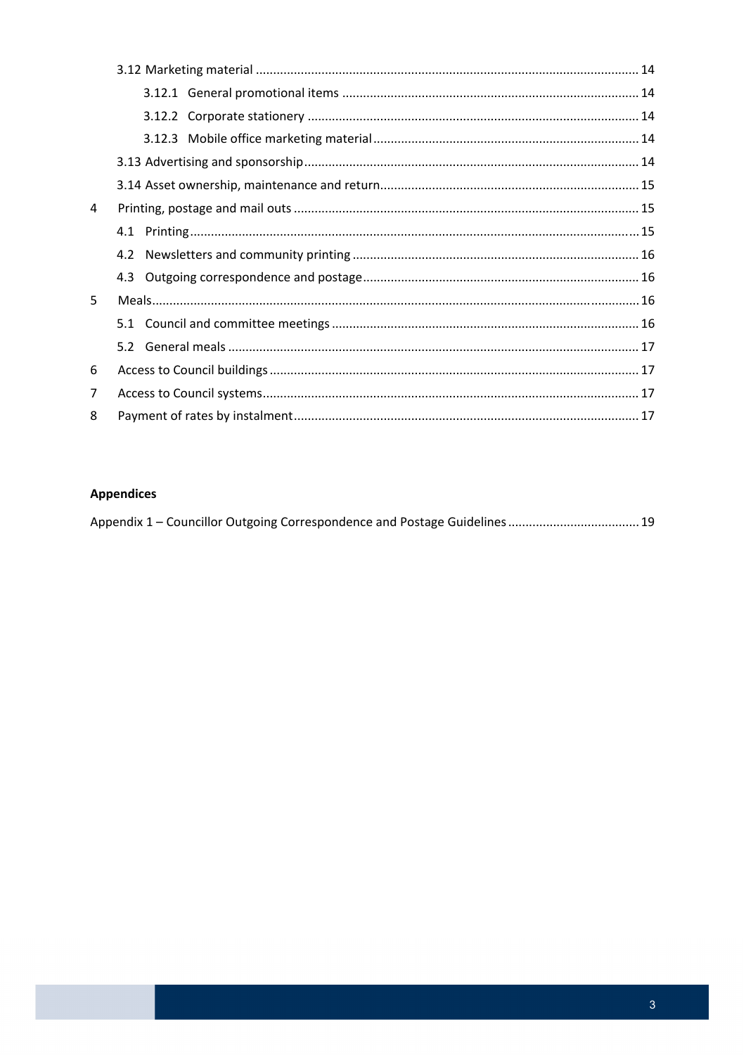| 4              |  |
|----------------|--|
|                |  |
|                |  |
|                |  |
| 5              |  |
|                |  |
|                |  |
| 6              |  |
| $\overline{7}$ |  |
| 8              |  |

### **Appendices**

|  | Appendix 1 – Councillor Outgoing Correspondence and Postage Guidelines 19 |  |
|--|---------------------------------------------------------------------------|--|
|--|---------------------------------------------------------------------------|--|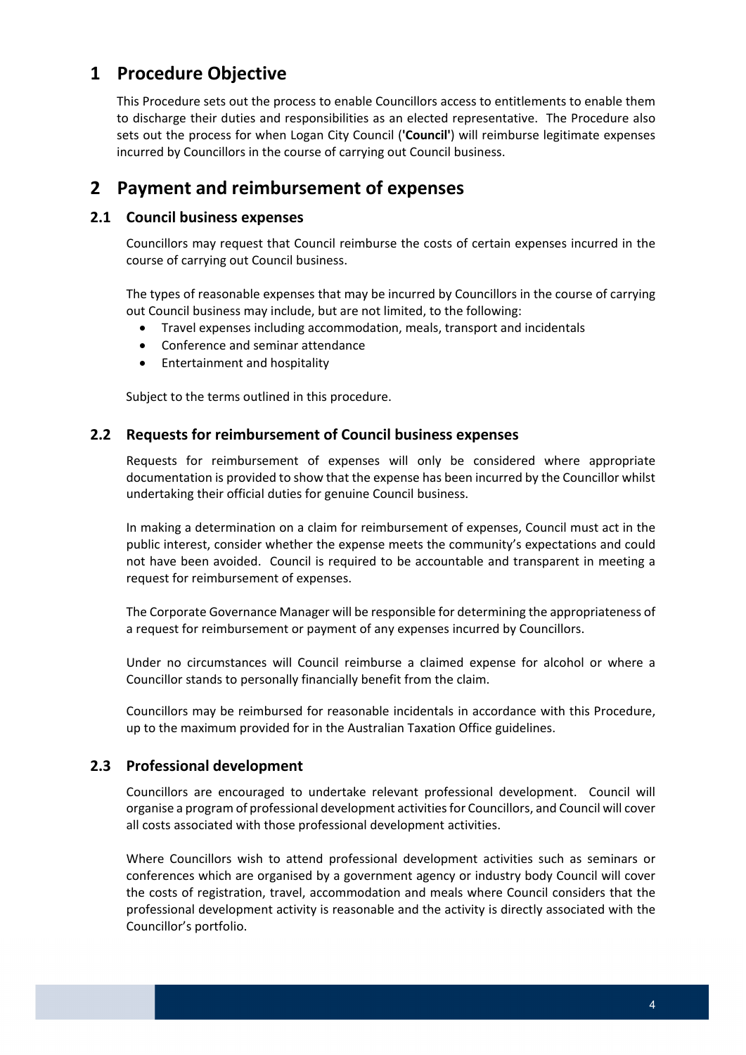# **1 Procedure Objective**

 This Procedure sets out the process to enable Councillors access to entitlements to enable them to discharge their duties and responsibilities as an elected representative. The Procedure also sets out the process for when Logan City Council (**'Council'**) will reimburse legitimate expenses incurred by Councillors in the course of carrying out Council business.

# **2 Payment and reimbursement of expenses**

# **2.1 Council business expenses**

 Councillors may request that Council reimburse the costs of certain expenses incurred in the course of carrying out Council business.

 The types of reasonable expenses that may be incurred by Councillors in the course of carrying out Council business may include, but are not limited, to the following:

- Travel expenses including accommodation, meals, transport and incidentals
- Conference and seminar attendance
- **•** Entertainment and hospitality

Subject to the terms outlined in this procedure.

# **2.2 Requests for reimbursement of Council business expenses**

 Requests for reimbursement of expenses will only be considered where appropriate documentation is provided to show that the expense has been incurred by the Councillor whilst undertaking their official duties for genuine Council business.

 In making a determination on a claim for reimbursement of expenses, Council must act in the public interest, consider whether the expense meets the community's expectations and could not have been avoided. Council is required to be accountable and transparent in meeting a request for reimbursement of expenses.

 The Corporate Governance Manager will be responsible for determining the appropriateness of a request for reimbursement or payment of any expenses incurred by Councillors.

 Under no circumstances will Council reimburse a claimed expense for alcohol or where a Councillor stands to personally financially benefit from the claim.

 Councillors may be reimbursed for reasonable incidentals in accordance with this Procedure, up to the maximum provided for in the Australian Taxation Office guidelines.

#### **2.3 Professional development**

 Councillors are encouraged to undertake relevant professional development. Council will organise a program of professional development activities for Councillors, and Council will cover all costs associated with those professional development activities.

 Where Councillors wish to attend professional development activities such as seminars or conferences which are organised by a government agency or industry body Council will cover the costs of registration, travel, accommodation and meals where Council considers that the professional development activity is reasonable and the activity is directly associated with the Councillor's portfolio.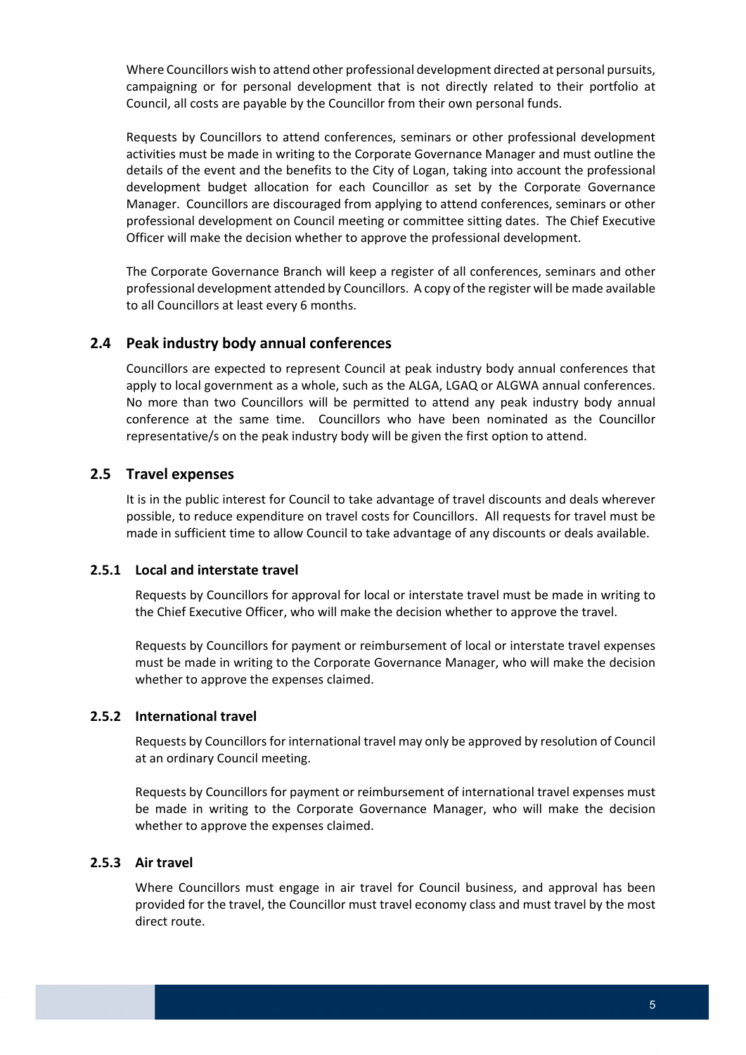Where Councillors wish to attend other professional development directed at personal pursuits, campaigning or for personal development that is not directly related to their portfolio at Council, all costs are payable by the Councillor from their own personal funds.

 Requests by Councillors to attend conferences, seminars or other professional development activities must be made in writing to the Corporate Governance Manager and must outline the details of the event and the benefits to the City of Logan, taking into account the professional development budget allocation for each Councillor as set by the Corporate Governance Manager. Councillors are discouraged from applying to attend conferences, seminars or other professional development on Council meeting or committee sitting dates. The Chief Executive Officer will make the decision whether to approve the professional development.

 The Corporate Governance Branch will keep a register of all conferences, seminars and other professional development attended by Councillors. A copy of the register will be made available to all Councillors at least every 6 months.

### **2.4 Peak industry body annual conferences**

 Councillors are expected to represent Council at peak industry body annual conferences that apply to local government as a whole, such as the ALGA, LGAQ or ALGWA annual conferences. No more than two Councillors will be permitted to attend any peak industry body annual conference at the same time. Councillors who have been nominated as the Councillor representative/s on the peak industry body will be given the first option to attend.

# **2.5 Travel expenses**

 It is in the public interest for Council to take advantage of travel discounts and deals wherever possible, to reduce expenditure on travel costs for Councillors. All requests for travel must be made in sufficient time to allow Council to take advantage of any discounts or deals available.

#### **2.5.1 Local and interstate travel**

 Requests by Councillors for approval for local or interstate travel must be made in writing to the Chief Executive Officer, who will make the decision whether to approve the travel.

 Requests by Councillors for payment or reimbursement of local or interstate travel expenses must be made in writing to the Corporate Governance Manager, who will make the decision whether to approve the expenses claimed.

#### **2.5.2 International travel**

 Requests by Councillors for international travel may only be approved by resolution of Council at an ordinary Council meeting.

 Requests by Councillors for payment or reimbursement of international travel expenses must be made in writing to the Corporate Governance Manager, who will make the decision whether to approve the expenses claimed.

#### **2.5.3 Air travel**

 Where Councillors must engage in air travel for Council business, and approval has been provided for the travel, the Councillor must travel economy class and must travel by the most direct route.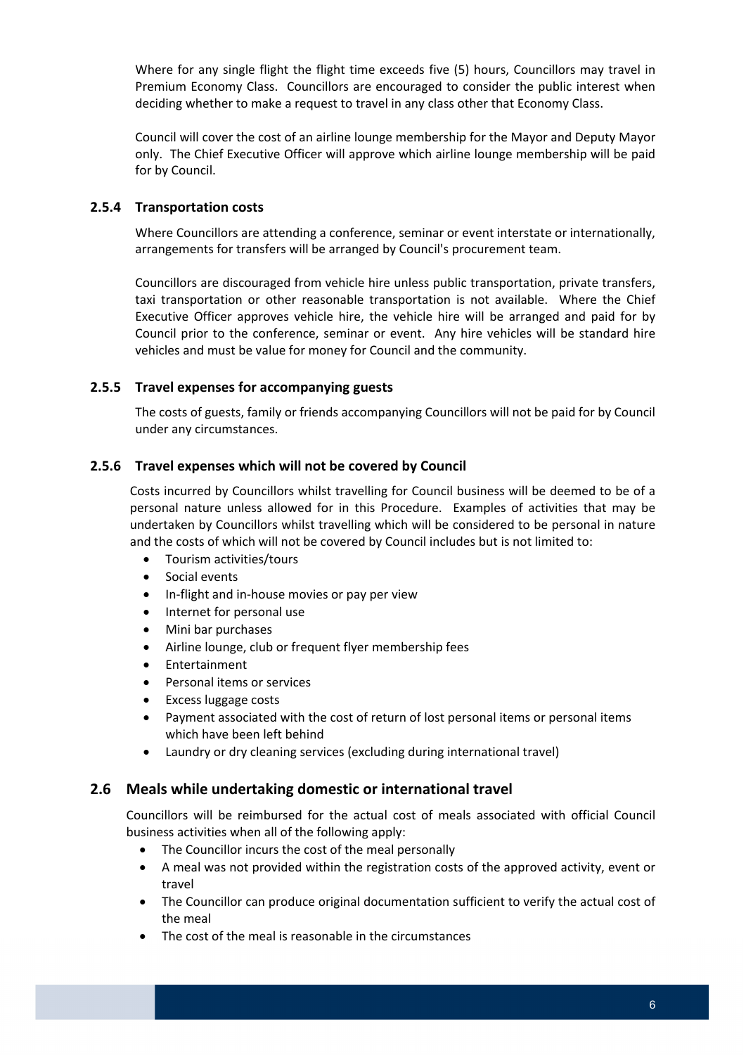Where for any single flight the flight time exceeds five (5) hours, Councillors may travel in Premium Economy Class. Councillors are encouraged to consider the public interest when deciding whether to make a request to travel in any class other that Economy Class.

 Council will cover the cost of an airline lounge membership for the Mayor and Deputy Mayor only. The Chief Executive Officer will approve which airline lounge membership will be paid for by Council.

#### **2.5.4 Transportation costs**

 Where Councillors are attending a conference, seminar or event interstate or internationally, arrangements for transfers will be arranged by Council's procurement team.

 Councillors are discouraged from vehicle hire unless public transportation, private transfers, taxi transportation or other reasonable transportation is not available. Where the Chief Executive Officer approves vehicle hire, the vehicle hire will be arranged and paid for by Council prior to the conference, seminar or event. Any hire vehicles will be standard hire vehicles and must be value for money for Council and the community.

#### **2.5.5 Travel expenses for accompanying guests**

 The costs of guests, family or friends accompanying Councillors will not be paid for by Council under any circumstances.

### **2.5.6 Travel expenses which will not be covered by Council**

 Costs incurred by Councillors whilst travelling for Council business will be deemed to be of a personal nature unless allowed for in this Procedure. Examples of activities that may be undertaken by Councillors whilst travelling which will be considered to be personal in nature and the costs of which will not be covered by Council includes but is not limited to:

- Tourism activities/tours
- **•** Social events
- In-flight and in-house movies or pay per view
- Internet for personal use
- Mini bar purchases
- Airline lounge, club or frequent flyer membership fees
- Entertainment
- **•** Personal items or services
- Excess luggage costs
- Payment associated with the cost of return of lost personal items or personal items which have been left behind
- Laundry or dry cleaning services (excluding during international travel)

### **2.6 Meals while undertaking domestic or international travel**

 Councillors will be reimbursed for the actual cost of meals associated with official Council business activities when all of the following apply:

- The Councillor incurs the cost of the meal personally
- A meal was not provided within the registration costs of the approved activity, event or travel
- The Councillor can produce original documentation sufficient to verify the actual cost of the meal
- The cost of the meal is reasonable in the circumstances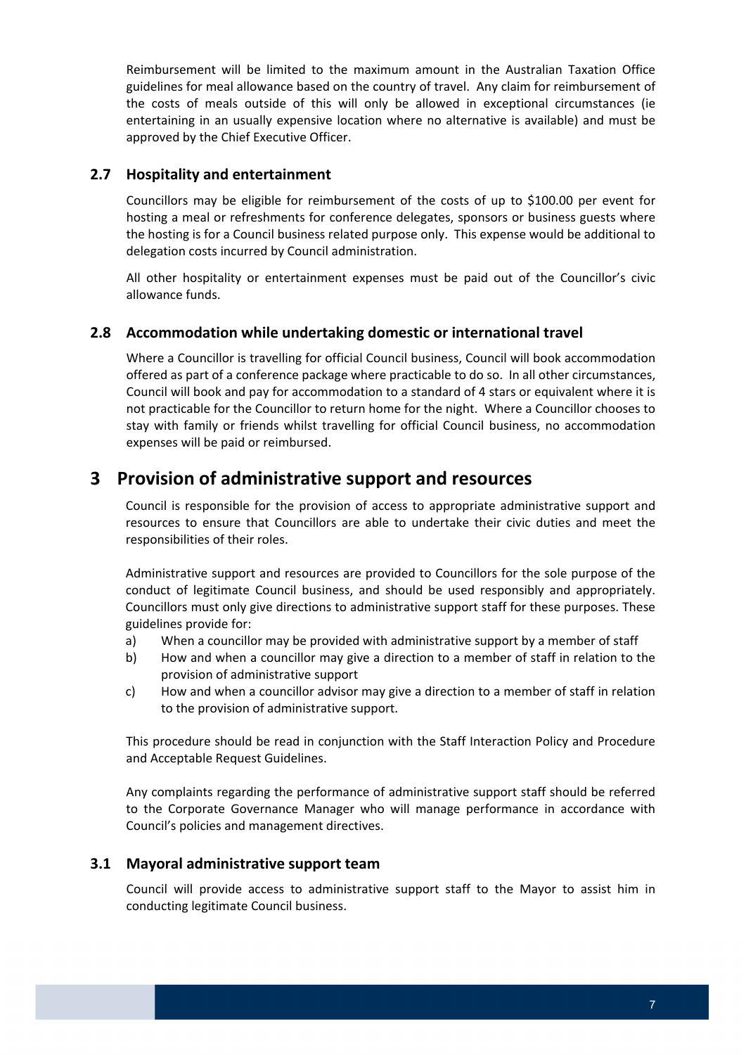Reimbursement will be limited to the maximum amount in the Australian Taxation Office guidelines for meal allowance based on the country of travel. Any claim for reimbursement of the costs of meals outside of this will only be allowed in exceptional circumstances (ie entertaining in an usually expensive location where no alternative is available) and must be approved by the Chief Executive Officer.

### **2.7 Hospitality and entertainment**

 Councillors may be eligible for reimbursement of the costs of up to \$100.00 per event for hosting a meal or refreshments for conference delegates, sponsors or business guests where the hosting is for a Council business related purpose only. This expense would be additional to delegation costs incurred by Council administration.

 All other hospitality or entertainment expenses must be paid out of the Councillor's civic allowance funds.

# **2.8 Accommodation while undertaking domestic or international travel**

 Where a Councillor is travelling for official Council business, Council will book accommodation offered as part of a conference package where practicable to do so. In all other circumstances, Council will book and pay for accommodation to a standard of 4 stars or equivalent where it is not practicable for the Councillor to return home for the night. Where a Councillor chooses to stay with family or friends whilst travelling for official Council business, no accommodation expenses will be paid or reimbursed.

# **3 Provision of administrative support and resources**

 Council is responsible for the provision of access to appropriate administrative support and resources to ensure that Councillors are able to undertake their civic duties and meet the responsibilities of their roles.

 Administrative support and resources are provided to Councillors for the sole purpose of the conduct of legitimate Council business, and should be used responsibly and appropriately. Councillors must only give directions to administrative support staff for these purposes. These guidelines provide for:

- a) When a councillor may be provided with administrative support by a member of staff
- b) How and when a councillor may give a direction to a member of staff in relation to the provision of administrative support
- c) How and when a councillor advisor may give a direction to a member of staff in relation to the provision of administrative support.

 This procedure should be read in conjunction with the Staff Interaction Policy and Procedure and Acceptable Request Guidelines.

 Any complaints regarding the performance of administrative support staff should be referred to the Corporate Governance Manager who will manage performance in accordance with Council's policies and management directives.

#### **3.1 Mayoral administrative support team**

 Council will provide access to administrative support staff to the Mayor to assist him in conducting legitimate Council business.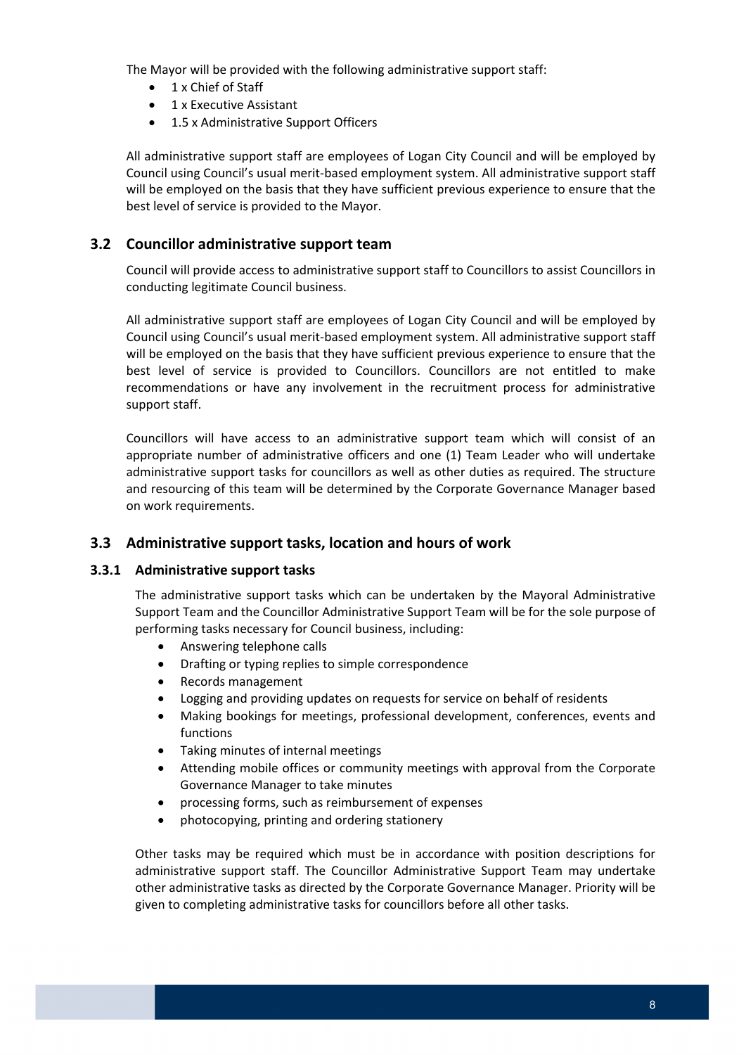The Mayor will be provided with the following administrative support staff:

- 1 x Chief of Staff
- 1 x Executive Assistant
- 1.5 x Administrative Support Officers

 All administrative support staff are employees of Logan City Council and will be employed by Council using Council's usual merit‐based employment system. All administrative support staff will be employed on the basis that they have sufficient previous experience to ensure that the best level of service is provided to the Mayor.

### **3.2 Councillor administrative support team**

 Council will provide access to administrative support staff to Councillors to assist Councillors in conducting legitimate Council business.

 All administrative support staff are employees of Logan City Council and will be employed by Council using Council's usual merit‐based employment system. All administrative support staff will be employed on the basis that they have sufficient previous experience to ensure that the best level of service is provided to Councillors. Councillors are not entitled to make recommendations or have any involvement in the recruitment process for administrative support staff.

 Councillors will have access to an administrative support team which will consist of an appropriate number of administrative officers and one (1) Team Leader who will undertake administrative support tasks for councillors as well as other duties as required. The structure and resourcing of this team will be determined by the Corporate Governance Manager based on work requirements.

# **3.3 Administrative support tasks, location and hours of work**

#### **3.3.1 Administrative support tasks**

 The administrative support tasks which can be undertaken by the Mayoral Administrative Support Team and the Councillor Administrative Support Team will be for the sole purpose of performing tasks necessary for Council business, including:

- Answering telephone calls
- Drafting or typing replies to simple correspondence
- Records management
- Logging and providing updates on requests for service on behalf of residents
- Making bookings for meetings, professional development, conferences, events and functions
- Taking minutes of internal meetings
- Attending mobile offices or community meetings with approval from the Corporate Governance Manager to take minutes
- processing forms, such as reimbursement of expenses
- photocopying, printing and ordering stationery

 Other tasks may be required which must be in accordance with position descriptions for administrative support staff. The Councillor Administrative Support Team may undertake other administrative tasks as directed by the Corporate Governance Manager. Priority will be given to completing administrative tasks for councillors before all other tasks.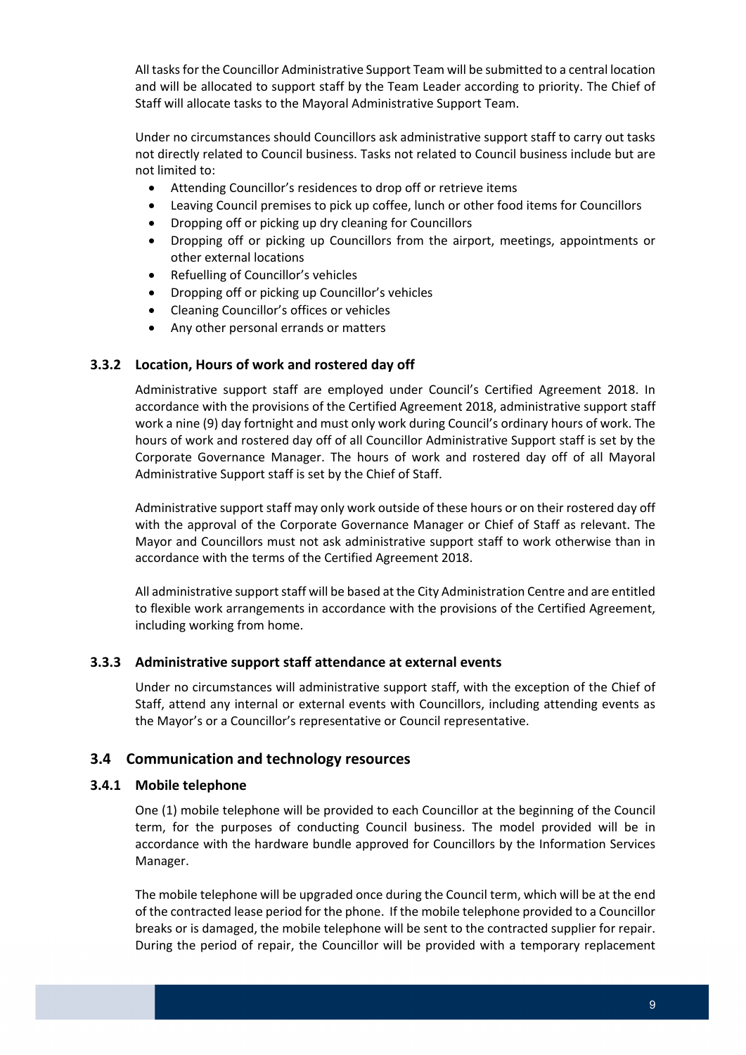All tasksfor the Councillor Administrative Support Team will be submitted to a central location and will be allocated to support staff by the Team Leader according to priority. The Chief of Staff will allocate tasks to the Mayoral Administrative Support Team.

 Under no circumstances should Councillors ask administrative support staff to carry out tasks not directly related to Council business. Tasks not related to Council business include but are not limited to:

- Attending Councillor's residences to drop off or retrieve items
- Leaving Council premises to pick up coffee, lunch or other food items for Councillors
- Dropping off or picking up dry cleaning for Councillors
- Dropping off or picking up Councillors from the airport, meetings, appointments or other external locations
- Refuelling of Councillor's vehicles
- Dropping off or picking up Councillor's vehicles
- Cleaning Councillor's offices or vehicles
- Any other personal errands or matters

#### **3.3.2 Location, Hours of work and rostered day off**

 Administrative support staff are employed under Council's Certified Agreement 2018. In accordance with the provisions of the Certified Agreement 2018, administrative support staff work a nine (9) day fortnight and must only work during Council's ordinary hours of work. The hours of work and rostered day off of all Councillor Administrative Support staff is set by the Corporate Governance Manager. The hours of work and rostered day off of all Mayoral Administrative Support staff is set by the Chief of Staff.

 Administrative support staff may only work outside of these hours or on their rostered day off with the approval of the Corporate Governance Manager or Chief of Staff as relevant. The Mayor and Councillors must not ask administrative support staff to work otherwise than in accordance with the terms of the Certified Agreement 2018.

All administrative support staff will be based at the City Administration Centre and are entitled to flexible work arrangements in accordance with the provisions of the Certified Agreement, including working from home.

#### **3.3.3 Administrative support staff attendance at external events**

 Under no circumstances will administrative support staff, with the exception of the Chief of Staff, attend any internal or external events with Councillors, including attending events as the Mayor's or a Councillor's representative or Council representative.

# **3.4 Communication and technology resources**

#### **3.4.1 Mobile telephone**

 One (1) mobile telephone will be provided to each Councillor at the beginning of the Council term, for the purposes of conducting Council business. The model provided will be in accordance with the hardware bundle approved for Councillors by the Information Services Manager.

 The mobile telephone will be upgraded once during the Council term, which will be at the end of the contracted lease period for the phone. If the mobile telephone provided to a Councillor breaks or is damaged, the mobile telephone will be sent to the contracted supplier for repair. During the period of repair, the Councillor will be provided with a temporary replacement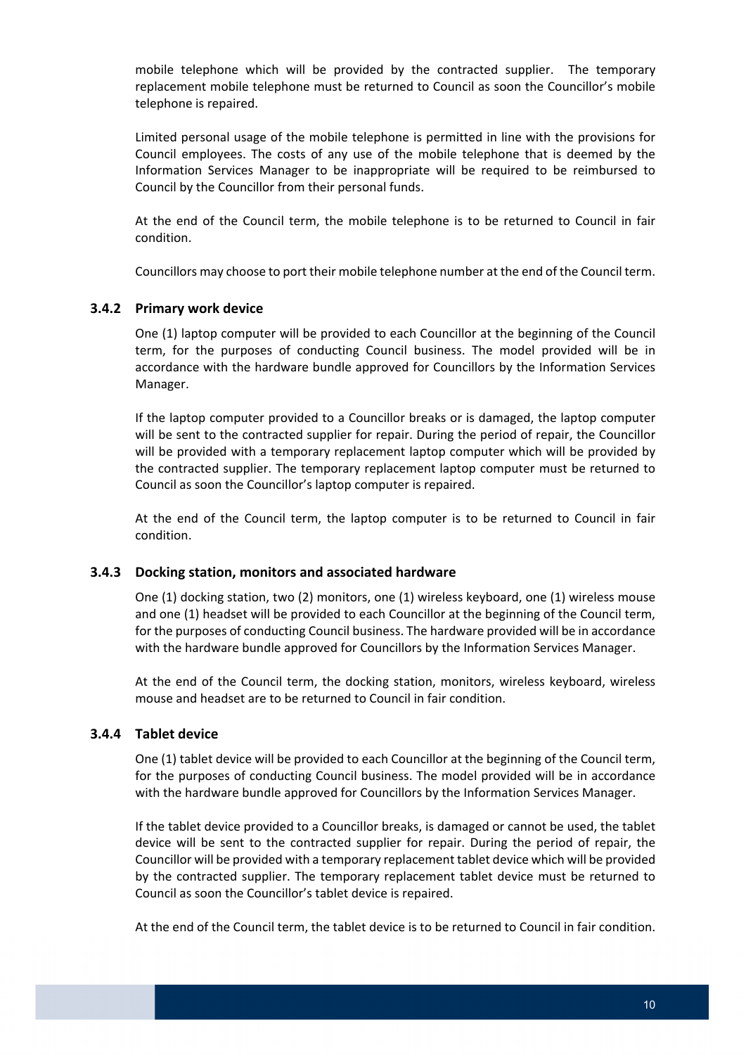mobile telephone which will be provided by the contracted supplier. The temporary replacement mobile telephone must be returned to Council as soon the Councillor's mobile telephone is repaired.

 Limited personal usage of the mobile telephone is permitted in line with the provisions for Council employees. The costs of any use of the mobile telephone that is deemed by the Information Services Manager to be inappropriate will be required to be reimbursed to Council by the Councillor from their personal funds.

 At the end of the Council term, the mobile telephone is to be returned to Council in fair condition.

Councillors may choose to port their mobile telephone number at the end of the Council term.

#### **3.4.2 Primary work device**

 One (1) laptop computer will be provided to each Councillor at the beginning of the Council term, for the purposes of conducting Council business. The model provided will be in accordance with the hardware bundle approved for Councillors by the Information Services Manager.

 If the laptop computer provided to a Councillor breaks or is damaged, the laptop computer will be sent to the contracted supplier for repair. During the period of repair, the Councillor will be provided with a temporary replacement laptop computer which will be provided by the contracted supplier. The temporary replacement laptop computer must be returned to Council as soon the Councillor's laptop computer is repaired.

 At the end of the Council term, the laptop computer is to be returned to Council in fair condition.

#### **3.4.3 Docking station, monitors and associated hardware**

 One (1) docking station, two (2) monitors, one (1) wireless keyboard, one (1) wireless mouse and one (1) headset will be provided to each Councillor at the beginning of the Council term, for the purposes of conducting Council business. The hardware provided will be in accordance with the hardware bundle approved for Councillors by the Information Services Manager.

 At the end of the Council term, the docking station, monitors, wireless keyboard, wireless mouse and headset are to be returned to Council in fair condition.

### **3.4.4 Tablet device**

 One (1) tablet device will be provided to each Councillor at the beginning of the Council term, for the purposes of conducting Council business. The model provided will be in accordance with the hardware bundle approved for Councillors by the Information Services Manager.

 If the tablet device provided to a Councillor breaks, is damaged or cannot be used, the tablet device will be sent to the contracted supplier for repair. During the period of repair, the Councillor will be provided with a temporary replacement tablet device which will be provided by the contracted supplier. The temporary replacement tablet device must be returned to Council as soon the Councillor's tablet device is repaired.

At the end of the Council term, the tablet device is to be returned to Council in fair condition.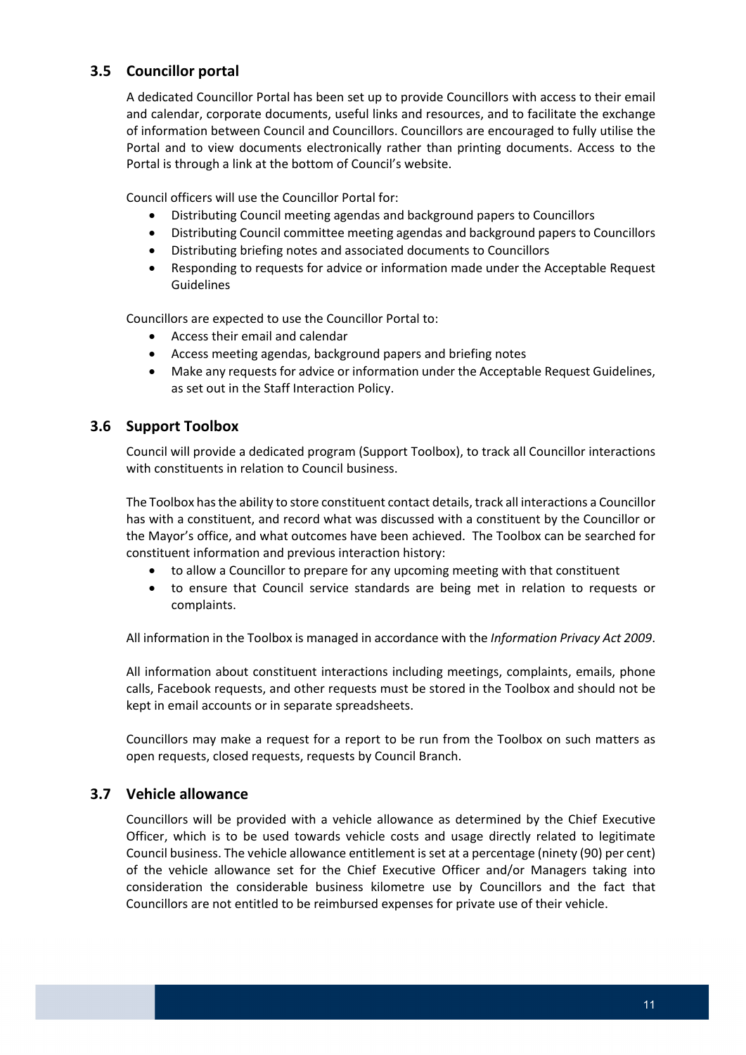# **3.5 Councillor portal**

 A dedicated Councillor Portal has been set up to provide Councillors with access to their email and calendar, corporate documents, useful links and resources, and to facilitate the exchange of information between Council and Councillors. Councillors are encouraged to fully utilise the Portal and to view documents electronically rather than printing documents. Access to the Portal is through a link at the bottom of Council's website.

Council officers will use the Councillor Portal for:

- Distributing Council meeting agendas and background papers to Councillors
- Distributing Council committee meeting agendas and background papers to Councillors
- Distributing briefing notes and associated documents to Councillors
- Responding to requests for advice or information made under the Acceptable Request Guidelines

Councillors are expected to use the Councillor Portal to:

- Access their email and calendar
- Access meeting agendas, background papers and briefing notes
- Make any requests for advice or information under the Acceptable Request Guidelines, as set out in the Staff Interaction Policy.

# **3.6 Support Toolbox**

 Council will provide a dedicated program (Support Toolbox), to track all Councillor interactions with constituents in relation to Council business.

The Toolbox has the ability to store constituent contact details, track all interactions a Councillor has with a constituent, and record what was discussed with a constituent by the Councillor or the Mayor's office, and what outcomes have been achieved. The Toolbox can be searched for constituent information and previous interaction history:

- to allow a Councillor to prepare for any upcoming meeting with that constituent
- to ensure that Council service standards are being met in relation to requests or complaints.

 All information in the Toolbox is managed in accordance with the *Information Privacy Act 2009*.

 All information about constituent interactions including meetings, complaints, emails, phone calls, Facebook requests, and other requests must be stored in the Toolbox and should not be kept in email accounts or in separate spreadsheets.

 Councillors may make a request for a report to be run from the Toolbox on such matters as open requests, closed requests, requests by Council Branch.

### **3.7 Vehicle allowance**

 Councillors will be provided with a vehicle allowance as determined by the Chief Executive Officer, which is to be used towards vehicle costs and usage directly related to legitimate Council business. The vehicle allowance entitlement is set at a percentage (ninety (90) per cent) of the vehicle allowance set for the Chief Executive Officer and/or Managers taking into consideration the considerable business kilometre use by Councillors and the fact that Councillors are not entitled to be reimbursed expenses for private use of their vehicle.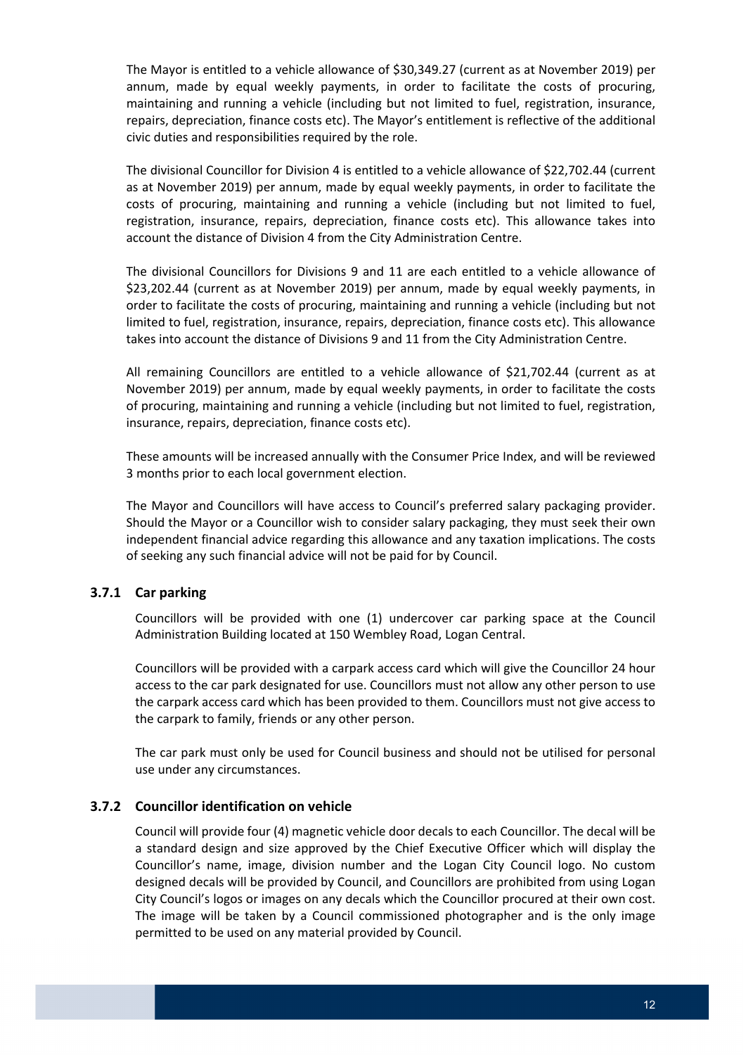The Mayor is entitled to a vehicle allowance of \$30,349.27 (current as at November 2019) per annum, made by equal weekly payments, in order to facilitate the costs of procuring, maintaining and running a vehicle (including but not limited to fuel, registration, insurance, repairs, depreciation, finance costs etc). The Mayor's entitlement is reflective of the additional civic duties and responsibilities required by the role.

 The divisional Councillor for Division 4 is entitled to a vehicle allowance of \$22,702.44 (current as at November 2019) per annum, made by equal weekly payments, in order to facilitate the costs of procuring, maintaining and running a vehicle (including but not limited to fuel, registration, insurance, repairs, depreciation, finance costs etc). This allowance takes into account the distance of Division 4 from the City Administration Centre.

 The divisional Councillors for Divisions 9 and 11 are each entitled to a vehicle allowance of \$23,202.44 (current as at November 2019) per annum, made by equal weekly payments, in order to facilitate the costs of procuring, maintaining and running a vehicle (including but not limited to fuel, registration, insurance, repairs, depreciation, finance costs etc). This allowance takes into account the distance of Divisions 9 and 11 from the City Administration Centre.

 All remaining Councillors are entitled to a vehicle allowance of \$21,702.44 (current as at November 2019) per annum, made by equal weekly payments, in order to facilitate the costs of procuring, maintaining and running a vehicle (including but not limited to fuel, registration, insurance, repairs, depreciation, finance costs etc).

 These amounts will be increased annually with the Consumer Price Index, and will be reviewed 3 months prior to each local government election.

 The Mayor and Councillors will have access to Council's preferred salary packaging provider. Should the Mayor or a Councillor wish to consider salary packaging, they must seek their own independent financial advice regarding this allowance and any taxation implications. The costs of seeking any such financial advice will not be paid for by Council.

#### **3.7.1 Car parking**

 Councillors will be provided with one (1) undercover car parking space at the Council Administration Building located at 150 Wembley Road, Logan Central.

 Councillors will be provided with a carpark access card which will give the Councillor 24 hour access to the car park designated for use. Councillors must not allow any other person to use the carpark access card which has been provided to them. Councillors must not give access to the carpark to family, friends or any other person.

 The car park must only be used for Council business and should not be utilised for personal use under any circumstances.

#### **3.7.2 Councillor identification on vehicle**

 Council will provide four (4) magnetic vehicle door decals to each Councillor. The decal will be a standard design and size approved by the Chief Executive Officer which will display the Councillor's name, image, division number and the Logan City Council logo. No custom designed decals will be provided by Council, and Councillors are prohibited from using Logan City Council's logos or images on any decals which the Councillor procured at their own cost. The image will be taken by a Council commissioned photographer and is the only image permitted to be used on any material provided by Council.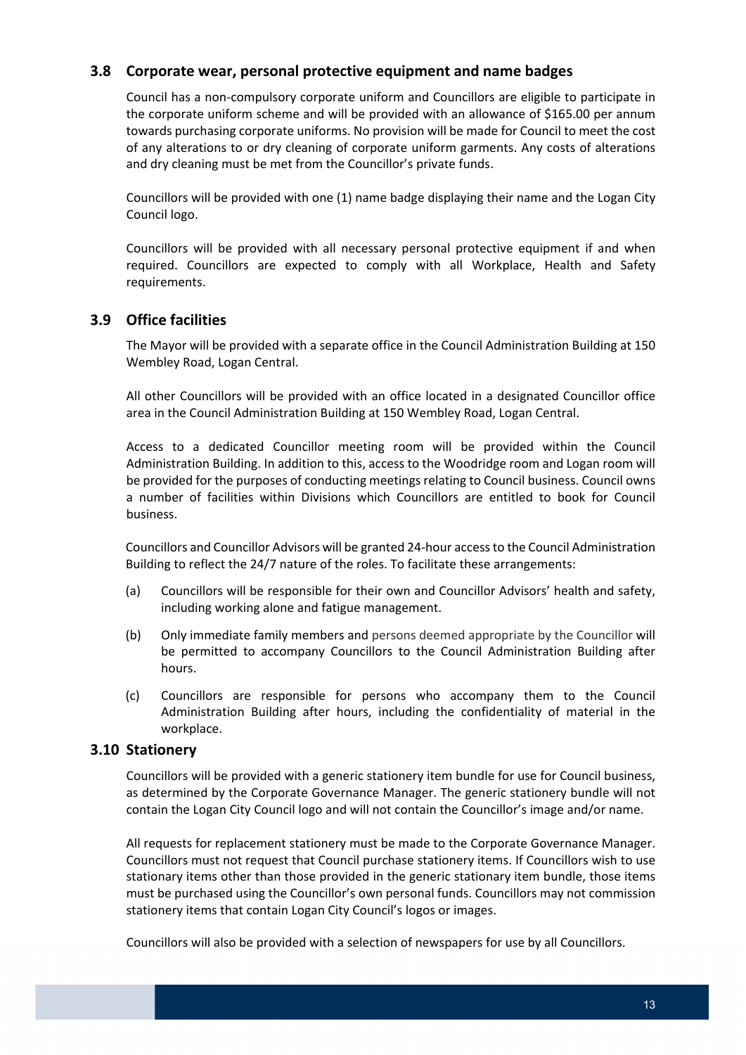# **3.8 Corporate wear, personal protective equipment and name badges**

 Council has a non‐compulsory corporate uniform and Councillors are eligible to participate in the corporate uniform scheme and will be provided with an allowance of \$165.00 per annum towards purchasing corporate uniforms. No provision will be made for Council to meet the cost of any alterations to or dry cleaning of corporate uniform garments. Any costs of alterations and dry cleaning must be met from the Councillor's private funds.

 Councillors will be provided with one (1) name badge displaying their name and the Logan City Council logo.

 Councillors will be provided with all necessary personal protective equipment if and when required. Councillors are expected to comply with all Workplace, Health and Safety requirements.

# **3.9 Office facilities**

 The Mayor will be provided with a separate office in the Council Administration Building at 150 Wembley Road, Logan Central.

 All other Councillors will be provided with an office located in a designated Councillor office area in the Council Administration Building at 150 Wembley Road, Logan Central.

 Access to a dedicated Councillor meeting room will be provided within the Council Administration Building. In addition to this, access to the Woodridge room and Logan room will be provided for the purposes of conducting meetings relating to Council business. Council owns a number of facilities within Divisions which Councillors are entitled to book for Council business.

 Councillors and Councillor Advisors will be granted 24‐hour accessto the Council Administration Building to reflect the 24/7 nature of the roles. To facilitate these arrangements:

- (a) Councillors will be responsible for their own and Councillor Advisors' health and safety, including working alone and fatigue management.
- (b) Only immediate family members and persons deemed appropriate by the Councillor will be permitted to accompany Councillors to the Council Administration Building after hours.
- (c) Councillors are responsible for persons who accompany them to the Council Administration Building after hours, including the confidentiality of material in the workplace.

#### **3.10 Stationery**

 Councillors will be provided with a generic stationery item bundle for use for Council business, as determined by the Corporate Governance Manager. The generic stationery bundle will not contain the Logan City Council logo and will not contain the Councillor's image and/or name.

 All requests for replacement stationery must be made to the Corporate Governance Manager. Councillors must not request that Council purchase stationery items. If Councillors wish to use stationary items other than those provided in the generic stationary item bundle, those items must be purchased using the Councillor's own personal funds. Councillors may not commission stationery items that contain Logan City Council's logos or images.

Councillors will also be provided with a selection of newspapers for use by all Councillors.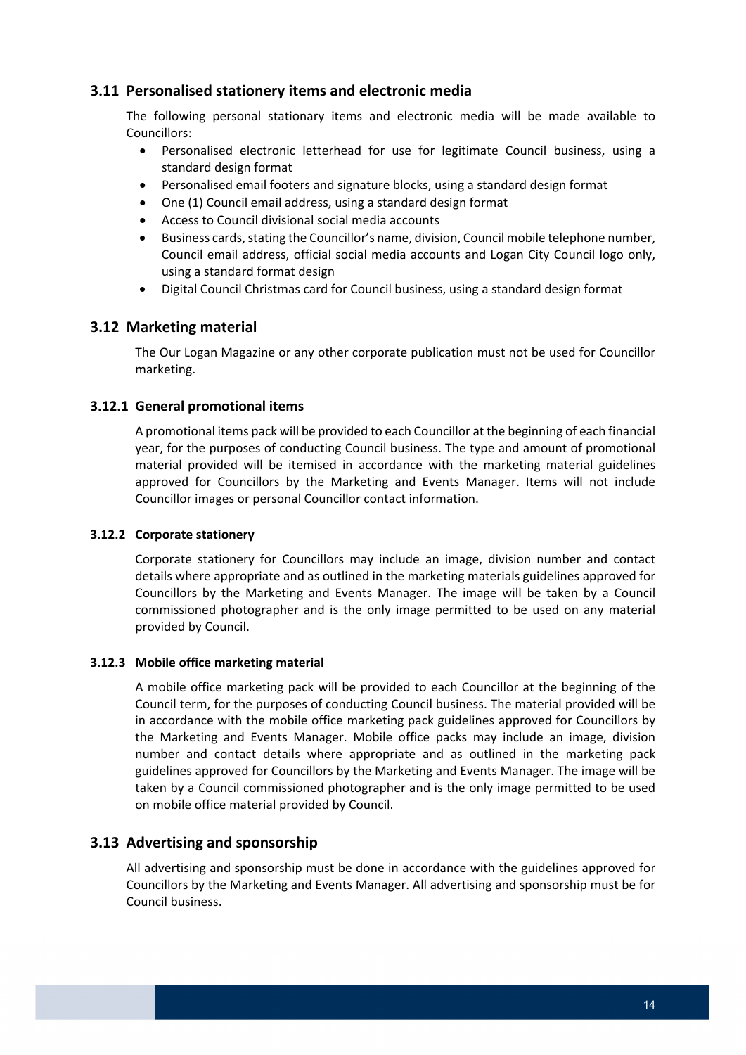# **3.11 Personalised stationery items and electronic media**

 The following personal stationary items and electronic media will be made available to Councillors:

- Personalised electronic letterhead for use for legitimate Council business, using a standard design format
- Personalised email footers and signature blocks, using a standard design format
- One (1) Council email address, using a standard design format
- Access to Council divisional social media accounts
- **•** Business cards, stating the Councillor's name, division, Council mobile telephone number, Council email address, official social media accounts and Logan City Council logo only, using a standard format design
- Digital Council Christmas card for Council business, using a standard design format

# **3.12 Marketing material**

 The Our Logan Magazine or any other corporate publication must not be used for Councillor marketing.

#### **3.12.1 General promotional items**

 A promotional items pack will be provided to each Councillor at the beginning of each financial year, for the purposes of conducting Council business. The type and amount of promotional material provided will be itemised in accordance with the marketing material guidelines approved for Councillors by the Marketing and Events Manager. Items will not include Councillor images or personal Councillor contact information.

#### **3.12.2 Corporate stationery**

 Corporate stationery for Councillors may include an image, division number and contact details where appropriate and as outlined in the marketing materials guidelines approved for Councillors by the Marketing and Events Manager. The image will be taken by a Council commissioned photographer and is the only image permitted to be used on any material provided by Council.

#### **3.12.3 Mobile office marketing material**

 A mobile office marketing pack will be provided to each Councillor at the beginning of the Council term, for the purposes of conducting Council business. The material provided will be in accordance with the mobile office marketing pack guidelines approved for Councillors by the Marketing and Events Manager. Mobile office packs may include an image, division number and contact details where appropriate and as outlined in the marketing pack guidelines approved for Councillors by the Marketing and Events Manager. The image will be taken by a Council commissioned photographer and is the only image permitted to be used on mobile office material provided by Council.

### **3.13 Advertising and sponsorship**

 All advertising and sponsorship must be done in accordance with the guidelines approved for Councillors by the Marketing and Events Manager. All advertising and sponsorship must be for Council business.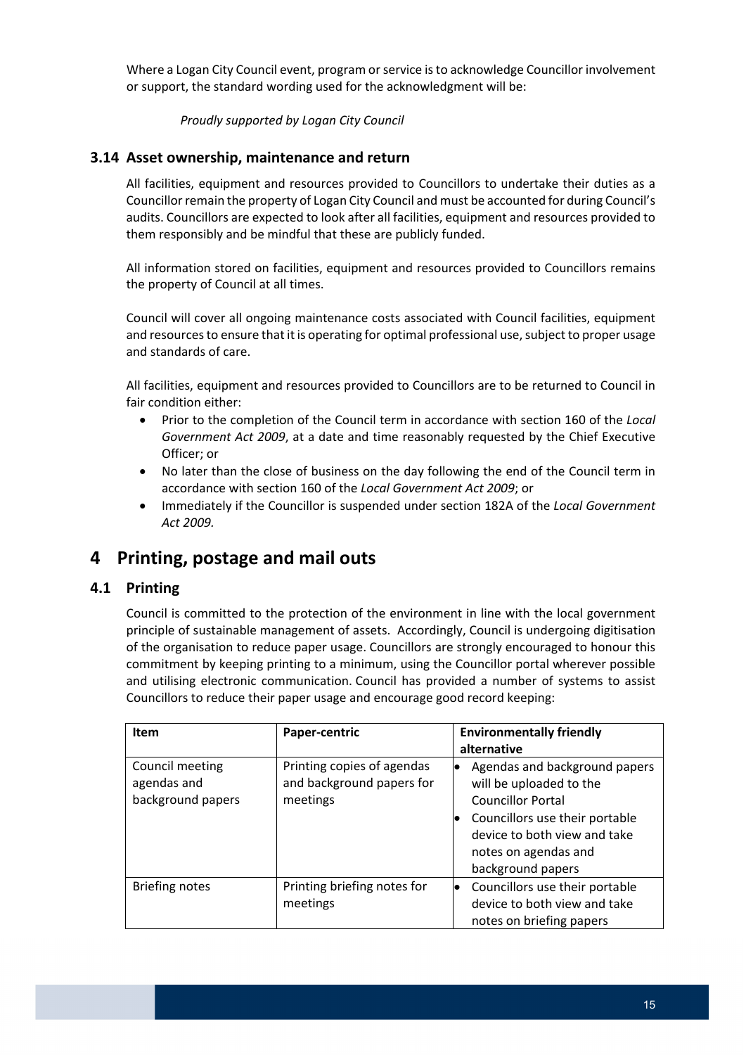Where a Logan City Council event, program or service is to acknowledge Councillor involvement or support, the standard wording used for the acknowledgment will be:

 *Proudly supported by Logan City Council*

# **3.14 Asset ownership, maintenance and return**

 All facilities, equipment and resources provided to Councillors to undertake their duties as a Councillor remain the property of Logan City Council and must be accounted for during Council's audits. Councillors are expected to look after all facilities, equipment and resources provided to them responsibly and be mindful that these are publicly funded.

 All information stored on facilities, equipment and resources provided to Councillors remains the property of Council at all times.

 Council will cover all ongoing maintenance costs associated with Council facilities, equipment and resources to ensure that it is operating for optimal professional use, subject to proper usage and standards of care.

 All facilities, equipment and resources provided to Councillors are to be returned to Council in fair condition either:

- Prior to the completion of the Council term in accordance with section 160 of the *Local Government Act 2009*, at a date and time reasonably requested by the Chief Executive Officer; or
- No later than the close of business on the day following the end of the Council term in  accordance with section 160 of the *Local Government Act 2009*; or
- Immediately if the Councillor is suspended under section 182A of the *Local Government Act 2009.*

# **4 Printing, postage and mail outs**

#### **4.1 Printing**

 Council is committed to the protection of the environment in line with the local government principle of sustainable management of assets. Accordingly, Council is undergoing digitisation of the organisation to reduce paper usage. Councillors are strongly encouraged to honour this commitment by keeping printing to a minimum, using the Councillor portal wherever possible and utilising electronic communication. Council has provided a number of systems to assist Councillors to reduce their paper usage and encourage good record keeping:

| <b>Item</b>                                         | Paper-centric                                                       | <b>Environmentally friendly</b><br>alternative                                                                                                                                                                   |
|-----------------------------------------------------|---------------------------------------------------------------------|------------------------------------------------------------------------------------------------------------------------------------------------------------------------------------------------------------------|
| Council meeting<br>agendas and<br>background papers | Printing copies of agendas<br>and background papers for<br>meetings | Agendas and background papers<br>$\bullet$<br>will be uploaded to the<br><b>Councillor Portal</b><br>Councillors use their portable<br>device to both view and take<br>notes on agendas and<br>background papers |
| <b>Briefing notes</b>                               | Printing briefing notes for<br>meetings                             | Councillors use their portable<br>lo<br>device to both view and take<br>notes on briefing papers                                                                                                                 |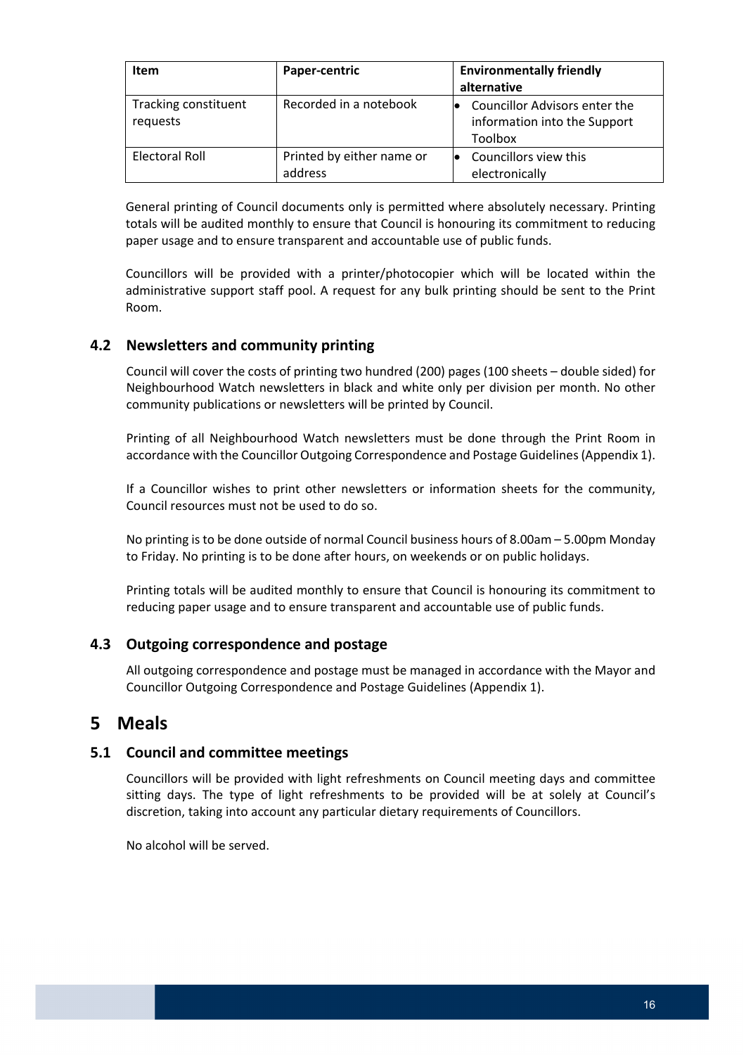| <b>Item</b>                      | Paper-centric                        | <b>Environmentally friendly</b><br>alternative                           |
|----------------------------------|--------------------------------------|--------------------------------------------------------------------------|
| Tracking constituent<br>requests | Recorded in a notebook               | Councillor Advisors enter the<br>information into the Support<br>Toolbox |
| Electoral Roll                   | Printed by either name or<br>address | Councillors view this<br>electronically                                  |

 General printing of Council documents only is permitted where absolutely necessary. Printing totals will be audited monthly to ensure that Council is honouring its commitment to reducing paper usage and to ensure transparent and accountable use of public funds.

 Councillors will be provided with a printer/photocopier which will be located within the administrative support staff pool. A request for any bulk printing should be sent to the Print Room.

# **4.2 Newsletters and community printing**

 Council will cover the costs of printing two hundred (200) pages (100 sheets – double sided) for Neighbourhood Watch newsletters in black and white only per division per month. No other community publications or newsletters will be printed by Council.

 Printing of all Neighbourhood Watch newsletters must be done through the Print Room in accordance with the Councillor Outgoing Correspondence and Postage Guidelines(Appendix 1).

 If a Councillor wishes to print other newsletters or information sheets for the community, Council resources must not be used to do so.

 No printing is to be done outside of normal Council business hours of 8.00am – 5.00pm Monday to Friday. No printing is to be done after hours, on weekends or on public holidays.

 Printing totals will be audited monthly to ensure that Council is honouring its commitment to reducing paper usage and to ensure transparent and accountable use of public funds.

#### **4.3 Outgoing correspondence and postage**

 All outgoing correspondence and postage must be managed in accordance with the Mayor and Councillor Outgoing Correspondence and Postage Guidelines (Appendix 1).

# **5 Meals**

#### **5.1 Council and committee meetings**

 Councillors will be provided with light refreshments on Council meeting days and committee sitting days. The type of light refreshments to be provided will be at solely at Council's discretion, taking into account any particular dietary requirements of Councillors.

No alcohol will be served.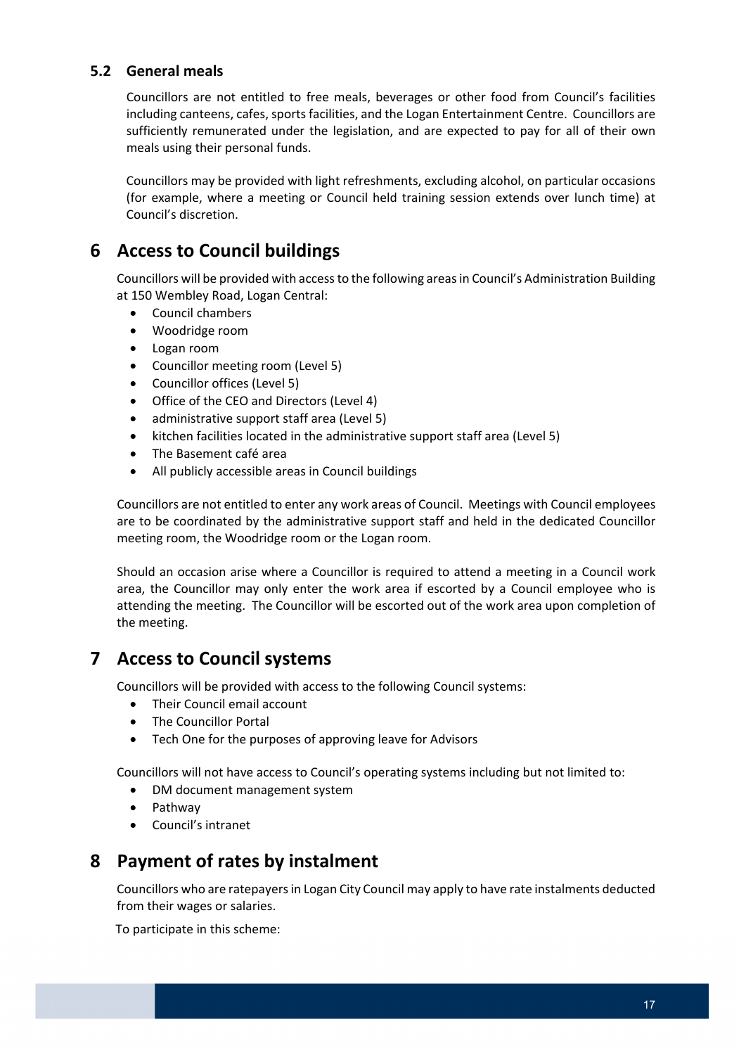# **5.2 General meals**

 Councillors are not entitled to free meals, beverages or other food from Council's facilities including canteens, cafes, sports facilities, and the Logan Entertainment Centre. Councillors are sufficiently remunerated under the legislation, and are expected to pay for all of their own meals using their personal funds.

 Councillors may be provided with light refreshments, excluding alcohol, on particular occasions (for example, where a meeting or Council held training session extends over lunch time) at Council's discretion.

# **6 Access to Council buildings**

Councillors will be provided with access to the following areas in Council's Administration Building at 150 Wembley Road, Logan Central:

- Council chambers
- Woodridge room
- Logan room
- Councillor meeting room (Level 5)
- Councillor offices (Level 5)
- Office of the CEO and Directors (Level 4)
- administrative support staff area (Level 5)
- kitchen facilities located in the administrative support staff area (Level 5)
- The Basement café area
- All publicly accessible areas in Council buildings

 Councillors are not entitled to enter any work areas of Council. Meetings with Council employees are to be coordinated by the administrative support staff and held in the dedicated Councillor meeting room, the Woodridge room or the Logan room.

 Should an occasion arise where a Councillor is required to attend a meeting in a Council work area, the Councillor may only enter the work area if escorted by a Council employee who is attending the meeting. The Councillor will be escorted out of the work area upon completion of the meeting.

# **7 Access to Council systems**

Councillors will be provided with access to the following Council systems:

- Their Council email account
- The Councillor Portal
- Tech One for the purposes of approving leave for Advisors

Councillors will not have access to Council's operating systems including but not limited to:

- DM document management system
- Pathway
- Council's intranet

# **8 Payment of rates by instalment**

 Councillors who are ratepayersin Logan City Council may apply to have rate instalments deducted from their wages or salaries.

per respect of the condition To participate in this scheme: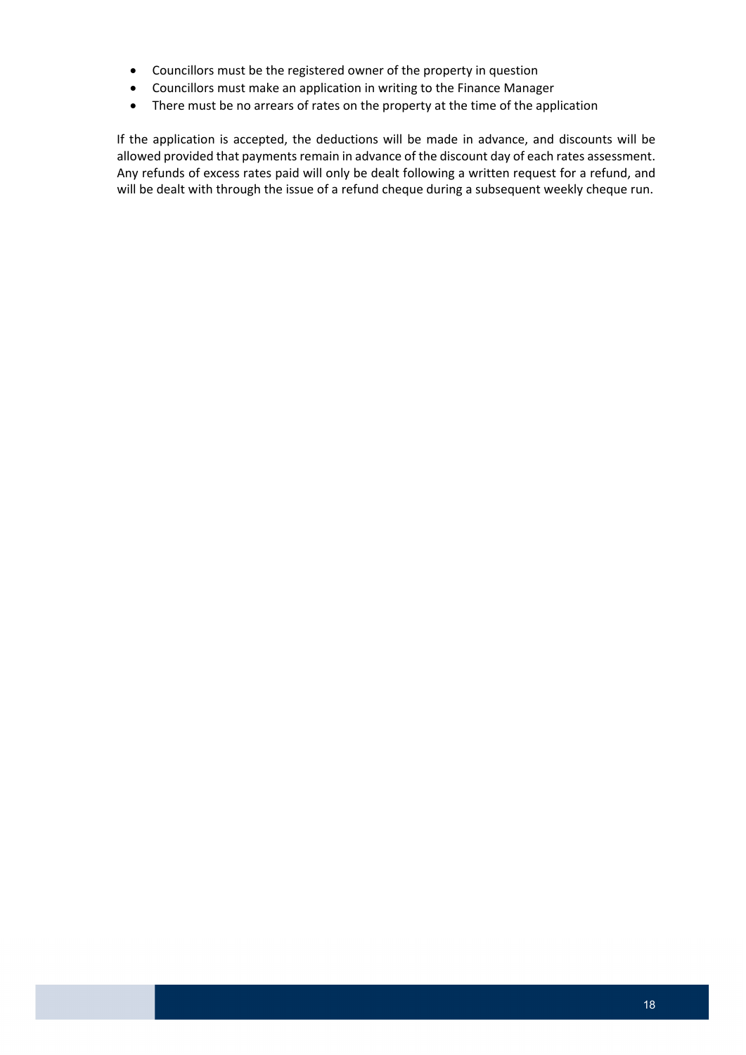- Councillors must be the registered owner of the property in question
- Councillors must make an application in writing to the Finance Manager
- There must be no arrears of rates on the property at the time of the application

 If the application is accepted, the deductions will be made in advance, and discounts will be allowed provided that payments remain in advance of the discount day of each rates assessment. Any refunds of excess rates paid will only be dealt following a written request for a refund, and will be dealt with through the issue of a refund cheque during a subsequent weekly cheque run.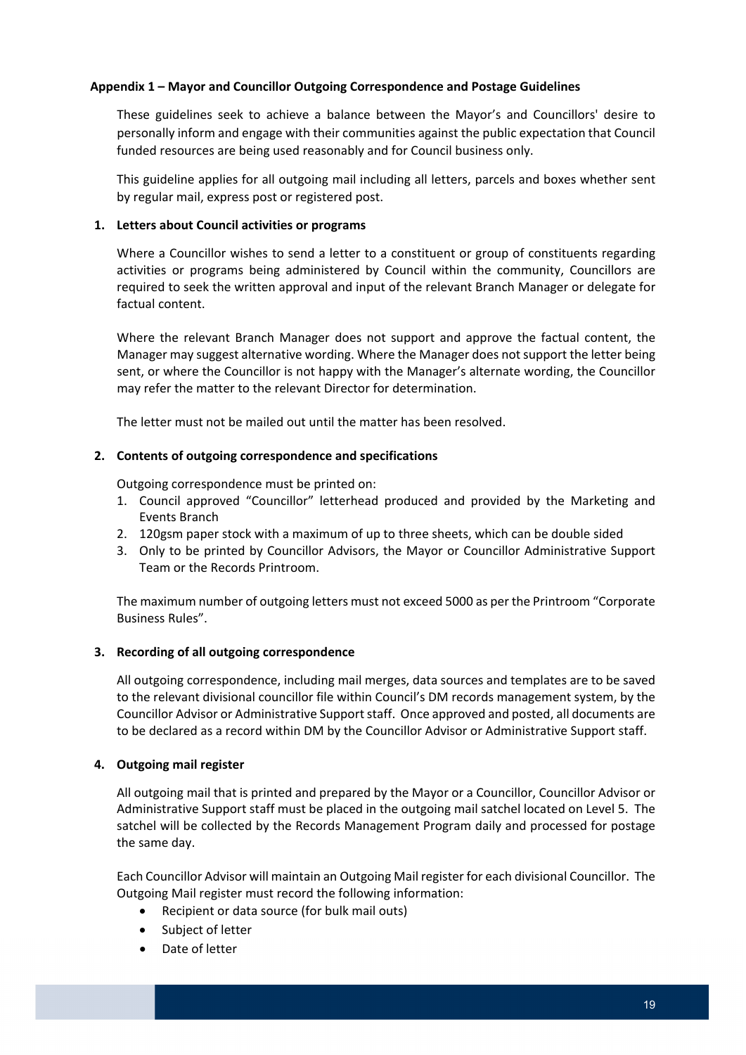#### **Appendix 1 – Mayor and Councillor Outgoing Correspondence and Postage Guidelines**

 These guidelines seek to achieve a balance between the Mayor's and Councillors' desire to personally inform and engage with their communities against the public expectation that Council funded resources are being used reasonably and for Council business only.

 This guideline applies for all outgoing mail including all letters, parcels and boxes whether sent by regular mail, express post or registered post.

#### **1. Letters about Council activities or programs**

 Where a Councillor wishes to send a letter to a constituent or group of constituents regarding activities or programs being administered by Council within the community, Councillors are required to seek the written approval and input of the relevant Branch Manager or delegate for factual content.

 Where the relevant Branch Manager does not support and approve the factual content, the Manager may suggest alternative wording. Where the Manager does not support the letter being sent, or where the Councillor is not happy with the Manager's alternate wording, the Councillor may refer the matter to the relevant Director for determination.

The letter must not be mailed out until the matter has been resolved.

#### **2. Contents of outgoing correspondence and specifications**

Outgoing correspondence must be printed on:

- 1. Council approved "Councillor" letterhead produced and provided by the Marketing and Events Branch
- 2. 120gsm paper stock with a maximum of up to three sheets, which can be double sided
- 3. Only to be printed by Councillor Advisors, the Mayor or Councillor Administrative Support Team or the Records Printroom.

 The maximum number of outgoing letters must not exceed 5000 as per the Printroom "Corporate Business Rules".

#### **3. Recording of all outgoing correspondence**

 All outgoing correspondence, including mail merges, data sources and templates are to be saved to the relevant divisional councillor file within Council's DM records management system, by the Councillor Advisor or Administrative Support staff. Once approved and posted, all documents are to be declared as a record within DM by the Councillor Advisor or Administrative Support staff.

#### **4. Outgoing mail register**

 All outgoing mail that is printed and prepared by the Mayor or a Councillor, Councillor Advisor or Administrative Support staff must be placed in the outgoing mail satchel located on Level 5. The satchel will be collected by the Records Management Program daily and processed for postage the same day.

 Each Councillor Advisor will maintain an Outgoing Mail register for each divisional Councillor. The Outgoing Mail register must record the following information:

- Recipient or data source (for bulk mail outs)
- Subject of letter
- Date of letter